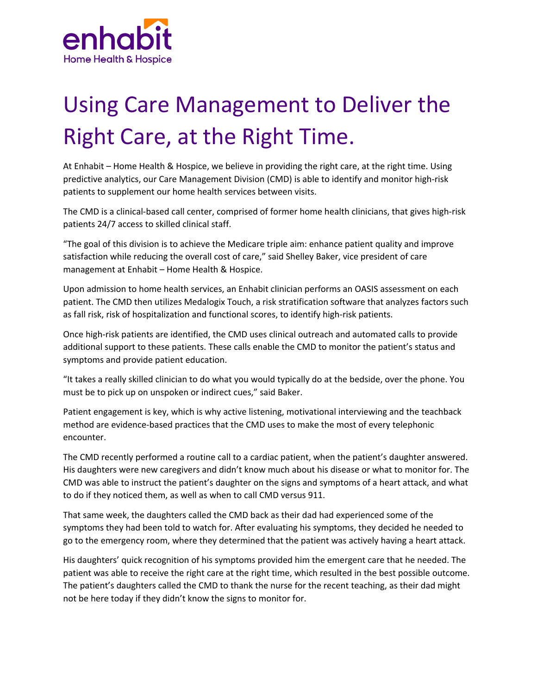

## Using Care Management to Deliver the Right Care, at the Right Time.

At Enhabit – Home Health & Hospice, we believe in providing the right care, at the right time. Using predictive analytics, our Care Management Division (CMD) is able to identify and monitor high-risk patients to supplement our home health services between visits.

The CMD is a clinical-based call center, comprised of former home health clinicians, that gives high-risk patients 24/7 access to skilled clinical staff.

"The goal of this division is to achieve the Medicare triple aim: enhance patient quality and improve satisfaction while reducing the overall cost of care," said Shelley Baker, vice president of care management at Enhabit – Home Health & Hospice.

Upon admission to home health services, an Enhabit clinician performs an OASIS assessment on each patient. The CMD then utilizes Medalogix Touch, a risk stratification software that analyzes factors such as fall risk, risk of hospitalization and functional scores, to identify high-risk patients.

Once high-risk patients are identified, the CMD uses clinical outreach and automated calls to provide additional support to these patients. These calls enable the CMD to monitor the patient's status and symptoms and provide patient education.

"It takes a really skilled clinician to do what you would typically do at the bedside, over the phone. You must be to pick up on unspoken or indirect cues," said Baker.

Patient engagement is key, which is why active listening, motivational interviewing and the teachback method are evidence-based practices that the CMD uses to make the most of every telephonic encounter.

The CMD recently performed a routine call to a cardiac patient, when the patient's daughter answered. His daughters were new caregivers and didn't know much about his disease or what to monitor for. The CMD was able to instruct the patient's daughter on the signs and symptoms of a heart attack, and what to do if they noticed them, as well as when to call CMD versus 911.

That same week, the daughters called the CMD back as their dad had experienced some of the symptoms they had been told to watch for. After evaluating his symptoms, they decided he needed to go to the emergency room, where they determined that the patient was actively having a heart attack.

His daughters' quick recognition of his symptoms provided him the emergent care that he needed. The patient was able to receive the right care at the right time, which resulted in the best possible outcome. The patient's daughters called the CMD to thank the nurse for the recent teaching, as their dad might not be here today if they didn't know the signs to monitor for.